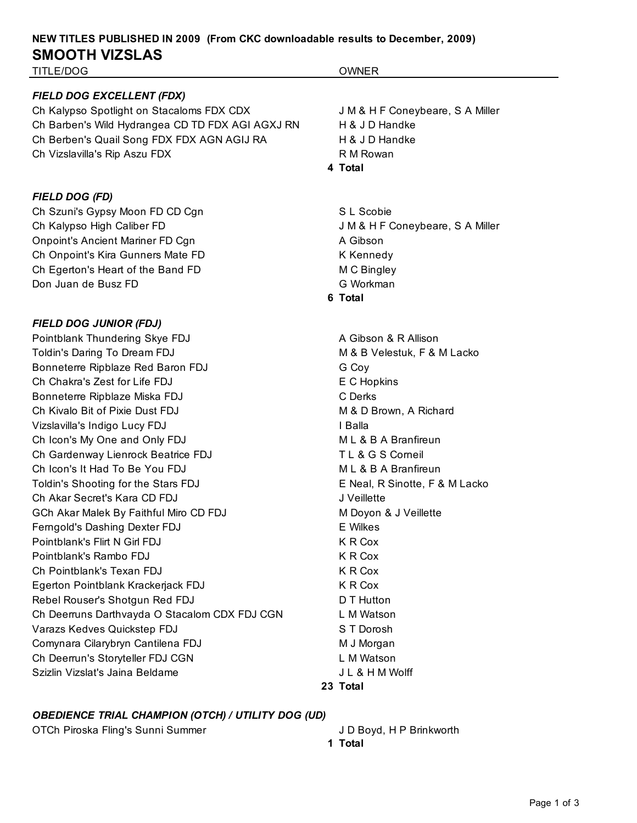# **NEW TITLES PUBLISHED IN 2009 (From CKC downloadable results to December, 2009) SMOOTH VIZSLAS**

TITLE/DOG OWNER

#### *FIELD DOG EXCELLENT (FDX)*

Ch Kalypso Spotlight on Stacaloms FDX CDX J M & H F Coneybeare, S A Miller Ch Barben's Wild Hydrangea CD TD FDX AGI AGXJ RN H & J D Handke Ch Berben's Quail Song FDX FDX AGN AGIJ RA H & J D Handke Ch Vizslavilla's Rip Aszu FDX R M Rowan

#### *FIELD DOG (FD)*

Ch Szuni's Gypsy Moon FD CD Cgn S L Scobie Ch Kalypso High Caliber FD **Guart Coneybeare, S.A. Miller** J M & H F Coneybeare, S.A. Miller Onpoint's Ancient Mariner FD Cgn A Gibson Ch Onpoint's Kira Gunners Mate FD **K** Kennedy Ch Egerton's Heart of the Band FD M C Bingley Don Juan de Busz FD G Workman

#### *FIELD DOG JUNIOR (FDJ)*

Pointblank Thundering Skye FDJ **A Gibson & R Allison** A Gibson & R Allison Toldin's Daring To Dream FDJ M & B Velestuk, F & M Lacko Bonneterre Ripblaze Red Baron FDJ G Cov Ch Chakra's Zest for Life FDJ **EXEC EXECUTE:** EXEC Hopkins Bonneterre Ripblaze Miska FDJ C Derks Ch Kivalo Bit of Pixie Dust FDJ M & D Brown, A Richard Vizslavilla's Indigo Lucy FDJ **I Balla** Ch Icon's My One and Only FDJ MUS A B A Branfireun Ch Gardenway Lienrock Beatrice FDJ TL & G S Corneil Ch Icon's It Had To Be You FDJ M L & B A Branfireun Toldin's Shooting for the Stars FDJ E Neal, R Sinotte, F & M Lacko Ch Akar Secret's Kara CD FDJ J Veillette GCh Akar Malek By Faithful Miro CD FDJ MED M Doyon & J Veillette Ferngold's Dashing Dexter FDJ EWilkes Pointblank's Flirt N Girl FDJ K R Cox Pointblank's Rambo FDJ **K R Cox** Ch Pointblank's Texan FDJ K R Cox Egerton Pointblank Krackerjack FDJ K R Cox Rebel Rouser's Shotgun Red FDJ D T Hutton Ch Deerruns Darthvayda O Stacalom CDX FDJ CGN L M Watson Varazs Kedves Quickstep FDJ S T Dorosh Comynara Cilarybryn Cantilena FDJ M J Morgan Ch Deerrun's Storyteller FDJ CGN L M Watson Szizlin Vizslat's Jaina Beldame J L & H M Wolff

## **4 Total**

**6 Total**

**23 Total**

## *OBEDIENCE TRIAL CHAMPION (OTCH) / UTILITY DOG (UD)*

OTCh Piroska Fling's Sunni Summer J D Boyd, H P Brinkworth

- 
- **1 Total**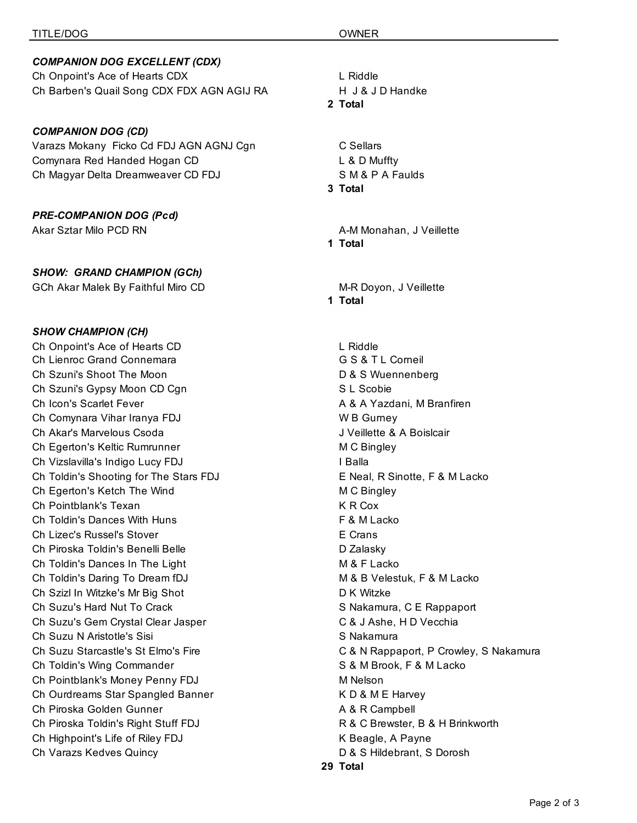## *COMPANION DOG EXCELLENT (CDX)*

Ch Onpoint's Ace of Hearts CDX L Riddle Ch Barben's Quail Song CDX FDX AGN AGIJ RA H J & J D Handke

## *COMPANION DOG (CD)*

Varazs Mokany Ficko Cd FDJ AGN AGNJ Cgn CSellars Comynara Red Handed Hogan CD L & D Muffty Ch Magyar Delta Dreamweaver CD FDJ SM & P A Faulds

## *PRE-COMPANION DOG (Pcd)*

## *SHOW: GRAND CHAMPION (GCh)*

GCh Akar Malek By Faithful Miro CD **M-R Doyon, J Veillette** 

## *SHOW CHAMPION (CH)*

Ch Onpoint's Ace of Hearts CD L Riddle Ch Lienroc Grand Connemara G S & T L Corneil Ch Szuni's Shoot The Moon D & S Wuennenberg Ch Szuni's Gypsy Moon CD Cgn S L Scobie S L Scobie Ch Icon's Scarlet Fever A & A Yazdani, M Branfiren Ch Comynara Vihar Iranya FDJ W B Gurney Ch Akar's Marvelous Csoda **J** Veillette & A Boislcair Ch Egerton's Keltic Rumrunner M C Bingley Ch Vizslavilla's Indigo Lucy FDJ **I Balla** Ch Toldin's Shooting for The Stars FDJ E Neal, R Sinotte, F & M Lacko Ch Egerton's Ketch The Wind M C Bingley Ch Pointblank's Texan K R Cox Ch Toldin's Dances With Huns F & M Lacko Ch Lizec's Russel's Stover E Crans Ch Piroska Toldin's Benelli Belle D Zalasky Ch Toldin's Dances In The Light M B Changes M & F Lacko Ch Toldin's Daring To Dream fDJ M & B Velestuk, F & M Lacko Ch Szizl In Witzke's Mr Big Shot D K Witzke Ch Suzu's Hard Nut To Crack S Nakamura, C E Rappaport Ch Suzu's Gem Crystal Clear Jasper C & J Ashe, H D Vecchia Ch Suzu N Aristotle's Sisi Santa Charles State State State State State State State State State State State State State State State State State State State State State State State State State State State State State State S Ch Toldin's Wing Commander **S** & M Brook, F & M Lacko Ch Pointblank's Money Penny FDJ M Nelson Ch Ourdreams Star Spangled Banner **K D & M E Harvey** Ch Piroska Golden Gunner **A & R Campbell** Ch Piroska Toldin's Right Stuff FDJ R & C Brewster, B & H Brinkworth Ch Highpoint's Life of Riley FDJ **K** Beagle, A Payne Ch Varazs Kedves Quincy D & S Hildebrant, S Dorosh

#### **2 Total**

## **3 Total**

Akar Sztar Milo PCD RN A-M Monahan, J Veillette **1 Total**

**1 Total**

Ch Suzu Starcastle's St Elmo's Fire C & N Rappaport, P Crowley, S Nakamura **29 Total**